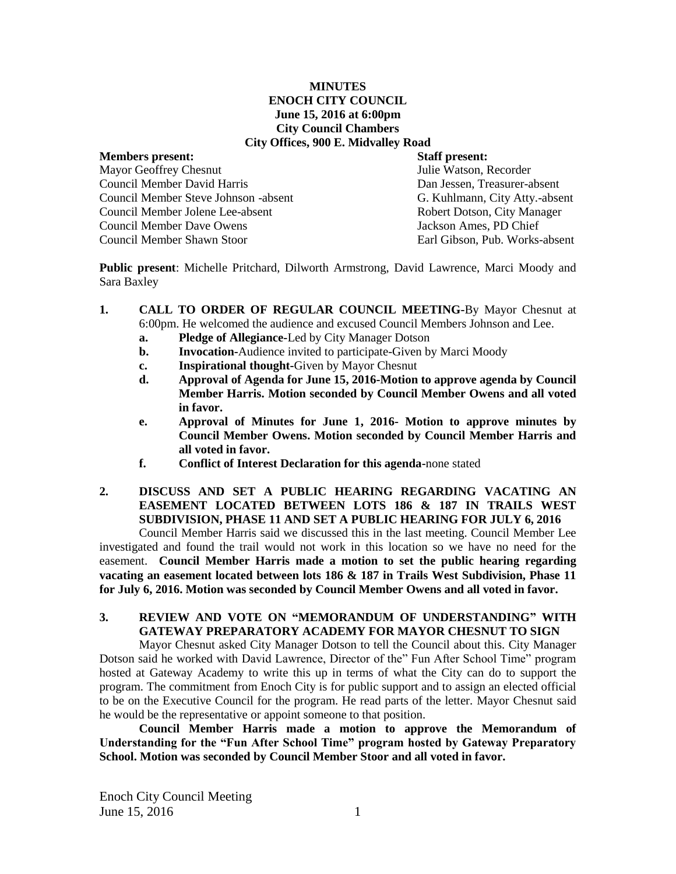#### **MINUTES ENOCH CITY COUNCIL June 15, 2016 at 6:00pm City Council Chambers City Offices, 900 E. Midvalley Road**

| <b>Members present:</b>                 |
|-----------------------------------------|
| <b>Mayor Geoffrey Chesnut</b>           |
| Council Member David Harris             |
| Council Member Steve Johnson -absent    |
| <b>Council Member Jolene Lee-absent</b> |
| Council Member Dave Owens               |
| Council Member Shawn Stoor              |
|                                         |

**Staff present:** Julie Watson, Recorder Dan Jessen, Treasurer-absent t G. Kuhlmann, City Atty.-absent Robert Dotson, City Manager Jackson Ames, PD Chief Earl Gibson, Pub. Works-absent

**Public present**: Michelle Pritchard, Dilworth Armstrong, David Lawrence, Marci Moody and Sara Baxley

- **1. CALL TO ORDER OF REGULAR COUNCIL MEETING-**By Mayor Chesnut at 6:00pm. He welcomed the audience and excused Council Members Johnson and Lee.
	- **a. Pledge of Allegiance-**Led by City Manager Dotson
	- **b. Invocation-**Audience invited to participate-Given by Marci Moody
	- **c. Inspirational thought-**Given by Mayor Chesnut
	- **d. Approval of Agenda for June 15, 2016-Motion to approve agenda by Council Member Harris. Motion seconded by Council Member Owens and all voted in favor.**
	- **e. Approval of Minutes for June 1, 2016- Motion to approve minutes by Council Member Owens. Motion seconded by Council Member Harris and all voted in favor.**
	- **f. Conflict of Interest Declaration for this agenda-**none stated
- **2. DISCUSS AND SET A PUBLIC HEARING REGARDING VACATING AN EASEMENT LOCATED BETWEEN LOTS 186 & 187 IN TRAILS WEST SUBDIVISION, PHASE 11 AND SET A PUBLIC HEARING FOR JULY 6, 2016**

Council Member Harris said we discussed this in the last meeting. Council Member Lee investigated and found the trail would not work in this location so we have no need for the easement. **Council Member Harris made a motion to set the public hearing regarding vacating an easement located between lots 186 & 187 in Trails West Subdivision, Phase 11 for July 6, 2016. Motion was seconded by Council Member Owens and all voted in favor.**

## **3. REVIEW AND VOTE ON "MEMORANDUM OF UNDERSTANDING" WITH GATEWAY PREPARATORY ACADEMY FOR MAYOR CHESNUT TO SIGN**

Mayor Chesnut asked City Manager Dotson to tell the Council about this. City Manager Dotson said he worked with David Lawrence, Director of the" Fun After School Time" program hosted at Gateway Academy to write this up in terms of what the City can do to support the program. The commitment from Enoch City is for public support and to assign an elected official to be on the Executive Council for the program. He read parts of the letter. Mayor Chesnut said he would be the representative or appoint someone to that position.

**Council Member Harris made a motion to approve the Memorandum of Understanding for the "Fun After School Time" program hosted by Gateway Preparatory School. Motion was seconded by Council Member Stoor and all voted in favor.**